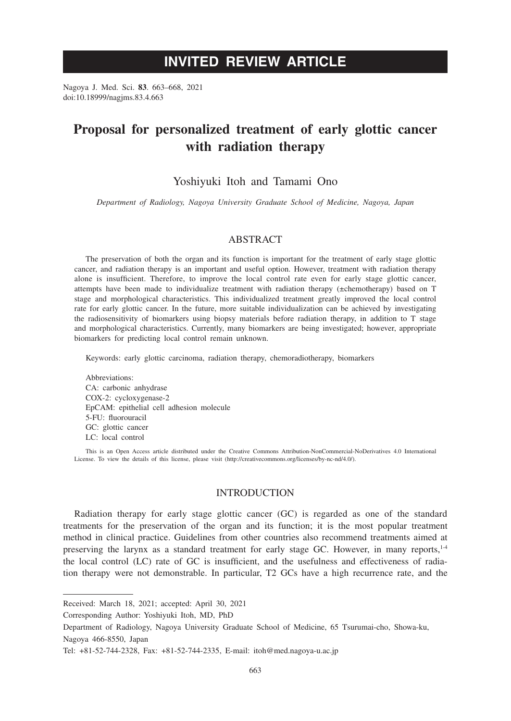# **INVITED REVIEW ARTICLE**

Nagoya J. Med. Sci. **83**. 663–668, 2021 doi:10.18999/nagjms.83.4.663

# **Proposal for personalized treatment of early glottic cancer with radiation therapy**

## Yoshiyuki Itoh and Tamami Ono

*Department of Radiology, Nagoya University Graduate School of Medicine, Nagoya, Japan*

## ABSTRACT

The preservation of both the organ and its function is important for the treatment of early stage glottic cancer, and radiation therapy is an important and useful option. However, treatment with radiation therapy alone is insufficient. Therefore, to improve the local control rate even for early stage glottic cancer, attempts have been made to individualize treatment with radiation therapy (±chemotherapy) based on T stage and morphological characteristics. This individualized treatment greatly improved the local control rate for early glottic cancer. In the future, more suitable individualization can be achieved by investigating the radiosensitivity of biomarkers using biopsy materials before radiation therapy, in addition to T stage and morphological characteristics. Currently, many biomarkers are being investigated; however, appropriate biomarkers for predicting local control remain unknown.

Keywords: early glottic carcinoma, radiation therapy, chemoradiotherapy, biomarkers

Abbreviations: CA: carbonic anhydrase COX-2: cycloxygenase-2 EpCAM: epithelial cell adhesion molecule 5-FU: fluorouracil GC: glottic cancer LC: local control

This is an Open Access article distributed under the Creative Commons Attribution-NonCommercial-NoDerivatives 4.0 International License. To view the details of this license, please visit (http://creativecommons.org/licenses/by-nc-nd/4.0/).

### INTRODUCTION

Radiation therapy for early stage glottic cancer (GC) is regarded as one of the standard treatments for the preservation of the organ and its function; it is the most popular treatment method in clinical practice. Guidelines from other countries also recommend treatments aimed at preserving the larynx as a standard treatment for early stage GC. However, in many reports, $1-4$ the local control (LC) rate of GC is insufficient, and the usefulness and effectiveness of radiation therapy were not demonstrable. In particular, T2 GCs have a high recurrence rate, and the

Corresponding Author: Yoshiyuki Itoh, MD, PhD

Department of Radiology, Nagoya University Graduate School of Medicine, 65 Tsurumai-cho, Showa-ku, Nagoya 466-8550, Japan

Received: March 18, 2021; accepted: April 30, 2021

Tel: +81-52-744-2328, Fax: +81-52-744-2335, E-mail: itoh@med.nagoya-u.ac.jp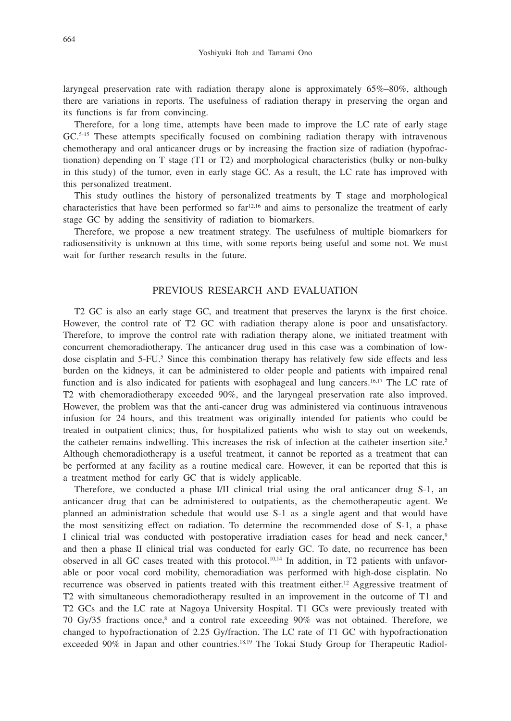laryngeal preservation rate with radiation therapy alone is approximately 65%–80%, although there are variations in reports. The usefulness of radiation therapy in preserving the organ and its functions is far from convincing.

Therefore, for a long time, attempts have been made to improve the LC rate of early stage GC.<sup>5-15</sup> These attempts specifically focused on combining radiation therapy with intravenous chemotherapy and oral anticancer drugs or by increasing the fraction size of radiation (hypofractionation) depending on T stage (T1 or T2) and morphological characteristics (bulky or non-bulky in this study) of the tumor, even in early stage GC. As a result, the LC rate has improved with this personalized treatment.

This study outlines the history of personalized treatments by T stage and morphological characteristics that have been performed so  $far<sup>12,16</sup>$  and aims to personalize the treatment of early stage GC by adding the sensitivity of radiation to biomarkers.

Therefore, we propose a new treatment strategy. The usefulness of multiple biomarkers for radiosensitivity is unknown at this time, with some reports being useful and some not. We must wait for further research results in the future.

## PREVIOUS RESEARCH AND EVALUATION

T2 GC is also an early stage GC, and treatment that preserves the larynx is the first choice. However, the control rate of T2 GC with radiation therapy alone is poor and unsatisfactory. Therefore, to improve the control rate with radiation therapy alone, we initiated treatment with concurrent chemoradiotherapy. The anticancer drug used in this case was a combination of lowdose cisplatin and 5-FU.<sup>5</sup> Since this combination therapy has relatively few side effects and less burden on the kidneys, it can be administered to older people and patients with impaired renal function and is also indicated for patients with esophageal and lung cancers.<sup>16,17</sup> The LC rate of T2 with chemoradiotherapy exceeded 90%, and the laryngeal preservation rate also improved. However, the problem was that the anti-cancer drug was administered via continuous intravenous infusion for 24 hours, and this treatment was originally intended for patients who could be treated in outpatient clinics; thus, for hospitalized patients who wish to stay out on weekends, the catheter remains indwelling. This increases the risk of infection at the catheter insertion site.<sup>5</sup> Although chemoradiotherapy is a useful treatment, it cannot be reported as a treatment that can be performed at any facility as a routine medical care. However, it can be reported that this is a treatment method for early GC that is widely applicable.

Therefore, we conducted a phase I/II clinical trial using the oral anticancer drug S-1, an anticancer drug that can be administered to outpatients, as the chemotherapeutic agent. We planned an administration schedule that would use S-1 as a single agent and that would have the most sensitizing effect on radiation. To determine the recommended dose of S-1, a phase I clinical trial was conducted with postoperative irradiation cases for head and neck cancer,<sup>9</sup> and then a phase II clinical trial was conducted for early GC. To date, no recurrence has been observed in all GC cases treated with this protocol.10,14 In addition, in T2 patients with unfavorable or poor vocal cord mobility, chemoradiation was performed with high-dose cisplatin. No recurrence was observed in patients treated with this treatment either.<sup>12</sup> Aggressive treatment of T2 with simultaneous chemoradiotherapy resulted in an improvement in the outcome of T1 and T2 GCs and the LC rate at Nagoya University Hospital. T1 GCs were previously treated with 70 Gy/35 fractions once,<sup>8</sup> and a control rate exceeding 90% was not obtained. Therefore, we changed to hypofractionation of 2.25 Gy/fraction. The LC rate of T1 GC with hypofractionation exceeded 90% in Japan and other countries.<sup>18,19</sup> The Tokai Study Group for Therapeutic Radiol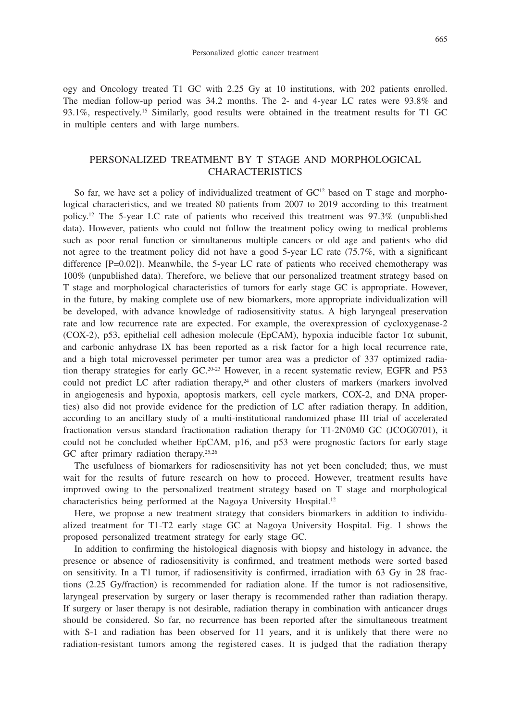ogy and Oncology treated T1 GC with 2.25 Gy at 10 institutions, with 202 patients enrolled. The median follow-up period was 34.2 months. The 2- and 4-year LC rates were 93.8% and 93.1%, respectively.15 Similarly, good results were obtained in the treatment results for T1 GC in multiple centers and with large numbers.

## PERSONALIZED TREATMENT BY T STAGE AND MORPHOLOGICAL CHARACTERISTICS

So far, we have set a policy of individualized treatment of  $GC<sup>12</sup>$  based on T stage and morphological characteristics, and we treated 80 patients from 2007 to 2019 according to this treatment policy.12 The 5-year LC rate of patients who received this treatment was 97.3% (unpublished data). However, patients who could not follow the treatment policy owing to medical problems such as poor renal function or simultaneous multiple cancers or old age and patients who did not agree to the treatment policy did not have a good 5-year LC rate (75.7%, with a significant difference [P=0.02]). Meanwhile, the 5-year LC rate of patients who received chemotherapy was 100% (unpublished data). Therefore, we believe that our personalized treatment strategy based on T stage and morphological characteristics of tumors for early stage GC is appropriate. However, in the future, by making complete use of new biomarkers, more appropriate individualization will be developed, with advance knowledge of radiosensitivity status. A high laryngeal preservation rate and low recurrence rate are expected. For example, the overexpression of cycloxygenase-2 (COX-2), p53, epithelial cell adhesion molecule (EpCAM), hypoxia inducible factor  $1\alpha$  subunit, and carbonic anhydrase IX has been reported as a risk factor for a high local recurrence rate, and a high total microvessel perimeter per tumor area was a predictor of 337 optimized radiation therapy strategies for early  $GC^{20-23}$  However, in a recent systematic review, EGFR and P53 could not predict LC after radiation therapy, $24$  and other clusters of markers (markers involved in angiogenesis and hypoxia, apoptosis markers, cell cycle markers, COX-2, and DNA properties) also did not provide evidence for the prediction of LC after radiation therapy. In addition, according to an ancillary study of a multi-institutional randomized phase III trial of accelerated fractionation versus standard fractionation radiation therapy for T1-2N0M0 GC (JCOG0701), it could not be concluded whether EpCAM, p16, and p53 were prognostic factors for early stage GC after primary radiation therapy.<sup>25,26</sup>

The usefulness of biomarkers for radiosensitivity has not yet been concluded; thus, we must wait for the results of future research on how to proceed. However, treatment results have improved owing to the personalized treatment strategy based on T stage and morphological characteristics being performed at the Nagoya University Hospital.<sup>12</sup>

Here, we propose a new treatment strategy that considers biomarkers in addition to individualized treatment for T1-T2 early stage GC at Nagoya University Hospital. Fig. 1 shows the proposed personalized treatment strategy for early stage GC.

In addition to confirming the histological diagnosis with biopsy and histology in advance, the presence or absence of radiosensitivity is confirmed, and treatment methods were sorted based on sensitivity. In a T1 tumor, if radiosensitivity is confirmed, irradiation with 63 Gy in 28 fractions (2.25 Gy/fraction) is recommended for radiation alone. If the tumor is not radiosensitive, laryngeal preservation by surgery or laser therapy is recommended rather than radiation therapy. If surgery or laser therapy is not desirable, radiation therapy in combination with anticancer drugs should be considered. So far, no recurrence has been reported after the simultaneous treatment with S-1 and radiation has been observed for 11 years, and it is unlikely that there were no radiation-resistant tumors among the registered cases. It is judged that the radiation therapy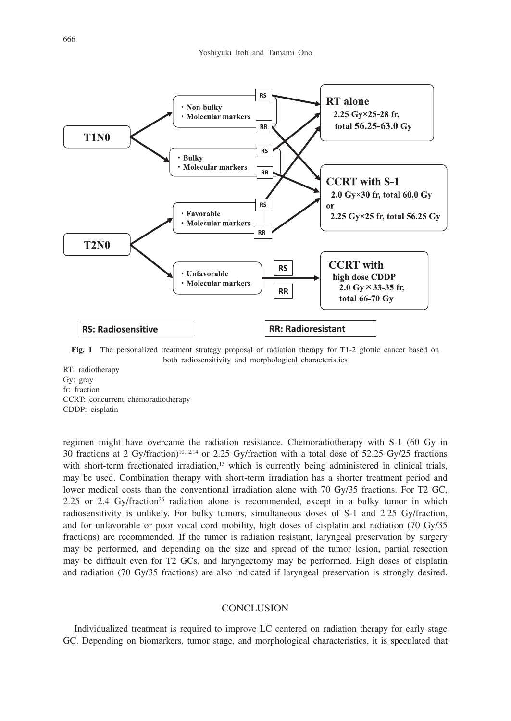

**Fig. 1** The personalized treatment strategy proposal of radiation therapy for T1-2 glottic cancer based on both radiosensitivity and morphological characteristics

RT: radiotherapy Gy: gray fr: fraction CCRT: concurrent chemoradiotherapy CDDP: cisplatin

regimen might have overcame the radiation resistance. Chemoradiotherapy with S-1 (60 Gy in 30 fractions at 2 Gy/fraction)10,12,14 or 2.25 Gy/fraction with a total dose of 52.25 Gy/25 fractions with short-term fractionated irradiation,<sup>13</sup> which is currently being administered in clinical trials, may be used. Combination therapy with short-term irradiation has a shorter treatment period and lower medical costs than the conventional irradiation alone with 70 Gy/35 fractions. For T2 GC, 2.25 or 2.4 Gy/fraction<sup>26</sup> radiation alone is recommended, except in a bulky tumor in which radiosensitivity is unlikely. For bulky tumors, simultaneous doses of S-1 and 2.25 Gy/fraction, and for unfavorable or poor vocal cord mobility, high doses of cisplatin and radiation (70 Gy/35 fractions) are recommended. If the tumor is radiation resistant, laryngeal preservation by surgery may be performed, and depending on the size and spread of the tumor lesion, partial resection may be difficult even for T2 GCs, and laryngectomy may be performed. High doses of cisplatin and radiation (70 Gy/35 fractions) are also indicated if laryngeal preservation is strongly desired.

#### **CONCLUSION**

Individualized treatment is required to improve LC centered on radiation therapy for early stage GC. Depending on biomarkers, tumor stage, and morphological characteristics, it is speculated that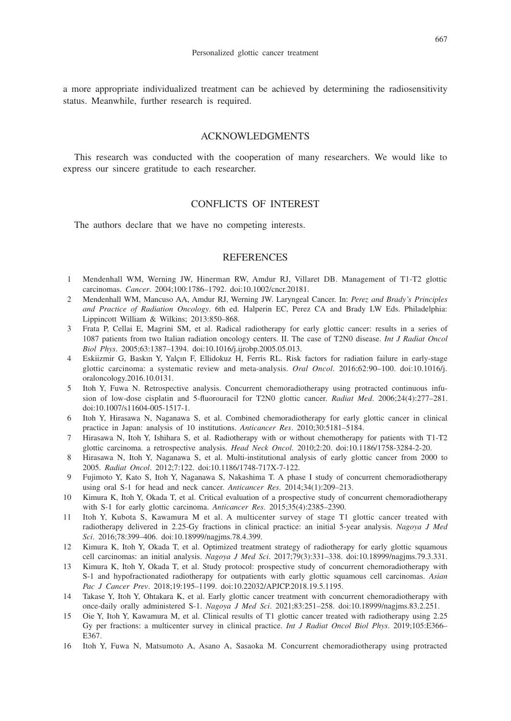a more appropriate individualized treatment can be achieved by determining the radiosensitivity status. Meanwhile, further research is required.

## ACKNOWLEDGMENTS

This research was conducted with the cooperation of many researchers. We would like to express our sincere gratitude to each researcher.

## CONFLICTS OF INTEREST

The authors declare that we have no competing interests.

#### **REFERENCES**

- 1 Mendenhall WM, Werning JW, Hinerman RW, Amdur RJ, Villaret DB. Management of T1-T2 glottic carcinomas. *Cancer*. 2004;100:1786–1792. doi:10.1002/cncr.20181.
- 2 Mendenhall WM, Mancuso AA, Amdur RJ, Werning JW. Laryngeal Cancer. In: *Perez and Brady's Principles and Practice of Radiation Oncology*. 6th ed. Halperin EC, Perez CA and Brady LW Eds. Philadelphia: Lippincott William & Wilkins; 2013:850–868.
- 3 Frata P, Cellai E, Magrini SM, et al. Radical radiotherapy for early glottic cancer: results in a series of 1087 patients from two Italian radiation oncology centers. II. The case of T2N0 disease. *Int J Radiat Oncol Biol Phys*. 2005;63:1387–1394. doi:10.1016/j.ijrobp.2005.05.013.
- 4 Eskiizmir G, Baskın Y, Yalçın F, Ellidokuz H, Ferris RL. Risk factors for radiation failure in early-stage glottic carcinoma: a systematic review and meta-analysis. *Oral Oncol*. 2016;62:90–100. doi:10.1016/j. oraloncology.2016.10.0131.
- 5 Itoh Y, Fuwa N. Retrospective analysis. Concurrent chemoradiotherapy using protracted continuous infusion of low-dose cisplatin and 5-fluorouracil for T2N0 glottic cancer. *Radiat Med*. 2006;24(4):277–281. doi:10.1007/s11604-005-1517-1.
- 6 Itoh Y, Hirasawa N, Naganawa S, et al. Combined chemoradiotherapy for early glottic cancer in clinical practice in Japan: analysis of 10 institutions. *Anticancer Res*. 2010;30:5181–5184.
- 7 Hirasawa N, Itoh Y, Ishihara S, et al. Radiotherapy with or without chemotherapy for patients with T1-T2 glottic carcinoma. a retrospective analysis. *Head Neck Oncol*. 2010;2:20. doi:10.1186/1758-3284-2-20.
- 8 Hirasawa N, Itoh Y, Naganawa S, et al. Multi-institutional analysis of early glottic cancer from 2000 to 2005. *Radiat Oncol*. 2012;7:122. doi:10.1186/1748-717X-7-122.
- 9 Fujimoto Y, Kato S, Itoh Y, Naganawa S, Nakashima T. A phase I study of concurrent chemoradiotherapy using oral S-1 for head and neck cancer. *Anticancer Res*. 2014;34(1):209–213.
- 10 Kimura K, Itoh Y, Okada T, et al. Critical evaluation of a prospective study of concurrent chemoradiotherapy with S-1 for early glottic carcinoma. *Anticancer Res*. 2015;35(4):2385–2390.
- 11 Itoh Y, Kubota S, Kawamura M et al. A multicenter survey of stage T1 glottic cancer treated with radiotherapy delivered in 2.25-Gy fractions in clinical practice: an initial 5-year analysis. *Nagoya J Med Sci*. 2016;78:399–406. doi:10.18999/nagjms.78.4.399.
- 12 Kimura K, Itoh Y, Okada T, et al. Optimized treatment strategy of radiotherapy for early glottic squamous cell carcinomas: an initial analysis. *Nagoya J Med Sci*. 2017;79(3):331–338. doi:10.18999/nagjms.79.3.331.
- 13 Kimura K, Itoh Y, Okada T, et al. Study protocol: prospective study of concurrent chemoradiotherapy with S-1 and hypofractionated radiotherapy for outpatients with early glottic squamous cell carcinomas. *Asian Pac J Cancer Prev*. 2018;19:195–1199. doi:10.22032/APJCP.2018.19.5.1195.
- 14 Takase Y, Itoh Y, Ohtakara K, et al. Early glottic cancer treatment with concurrent chemoradiotherapy with once-daily orally administered S-1. *Nagoya J Med Sci*. 2021;83:251–258. doi:10.18999/nagjms.83.2.251.
- 15 Oie Y, Itoh Y, Kawamura M, et al. Clinical results of T1 glottic cancer treated with radiotherapy using 2.25 Gy per fractions: a multicenter survey in clinical practice. *Int J Radiat Oncol Biol Phys*. 2019;105:E366– E367.
- 16 Itoh Y, Fuwa N, Matsumoto A, Asano A, Sasaoka M. Concurrent chemoradiotherapy using protracted